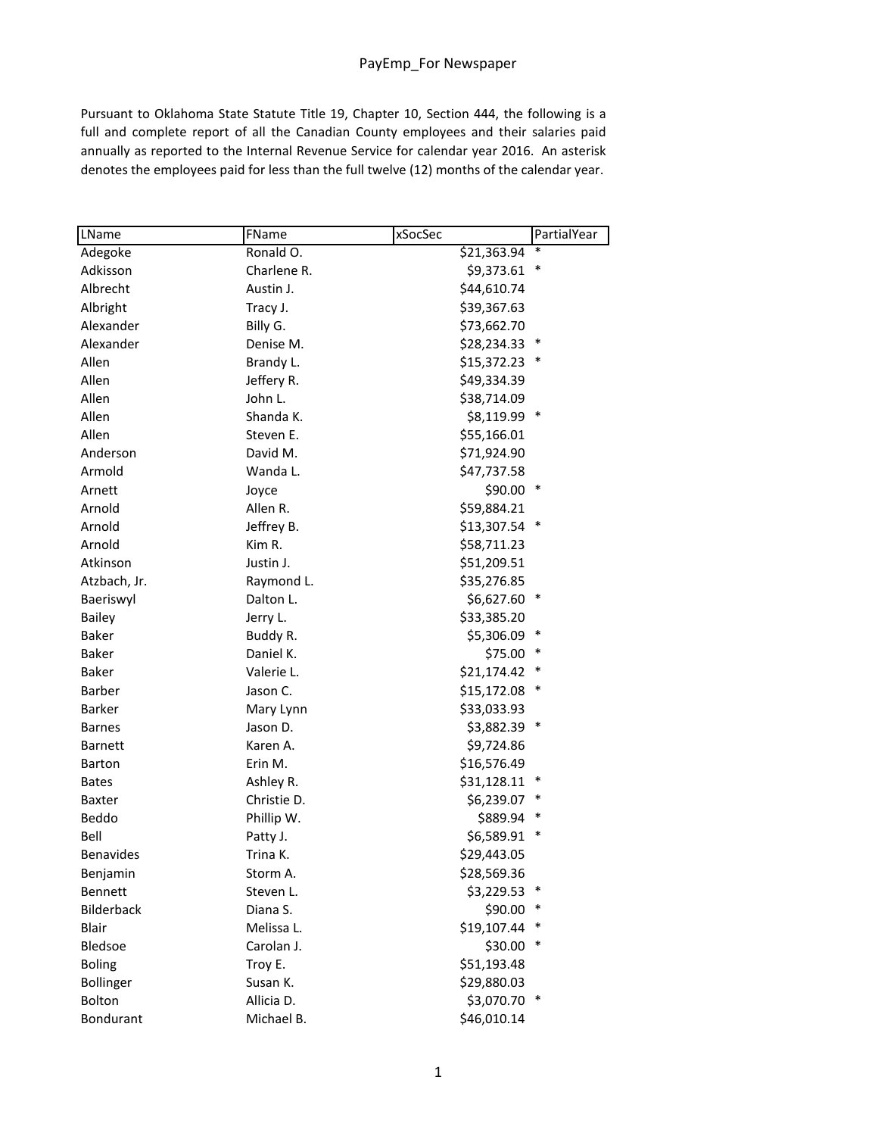Pursuant to Oklahoma State Statute Title 19, Chapter 10, Section 444, the following is a full and complete report of all the Canadian County employees and their salaries paid annually as reported to the Internal Revenue Service for calendar year 2016. An asterisk denotes the employees paid for less than the full twelve (12) months of the calendar year.

| LName            | FName       | PartialYear<br>xSocSec |
|------------------|-------------|------------------------|
| Adegoke          | Ronald O.   | \$21,363.94            |
| Adkisson         | Charlene R. | \$9,373.61             |
| Albrecht         | Austin J.   | \$44,610.74            |
| Albright         | Tracy J.    | \$39,367.63            |
| Alexander        | Billy G.    | \$73,662.70            |
| Alexander        | Denise M.   | \$28,234.33            |
| Allen            | Brandy L.   | \$15,372.23            |
| Allen            | Jeffery R.  | \$49,334.39            |
| Allen            | John L.     | \$38,714.09            |
| Allen            | Shanda K.   | \$8,119.99<br>∗        |
| Allen            | Steven E.   | \$55,166.01            |
| Anderson         | David M.    | \$71,924.90            |
| Armold           | Wanda L.    | \$47,737.58            |
| Arnett           | Joyce       | $$90.00*$              |
| Arnold           | Allen R.    | \$59,884.21            |
| Arnold           | Jeffrey B.  | \$13,307.54            |
| Arnold           | Kim R.      | \$58,711.23            |
| Atkinson         | Justin J.   | \$51,209.51            |
| Atzbach, Jr.     | Raymond L.  | \$35,276.85            |
| Baeriswyl        | Dalton L.   | \$6,627.60             |
| <b>Bailey</b>    | Jerry L.    | \$33,385.20            |
| <b>Baker</b>     | Buddy R.    | \$5,306.09<br>$\ast$   |
| <b>Baker</b>     | Daniel K.   | \$75.00                |
| <b>Baker</b>     | Valerie L.  | \$21,174.42            |
| Barber           | Jason C.    | \$15,172.08<br>∗       |
| <b>Barker</b>    | Mary Lynn   | \$33,033.93            |
| <b>Barnes</b>    | Jason D.    | \$3,882.39<br>$\ast$   |
| <b>Barnett</b>   | Karen A.    | \$9,724.86             |
| Barton           | Erin M.     | \$16,576.49            |
| <b>Bates</b>     | Ashley R.   | \$31,128.11<br>$\ast$  |
| <b>Baxter</b>    | Christie D. | \$6,239.07             |
| Beddo            | Phillip W.  | \$889.94               |
| Bell             | Patty J.    | \$6,589.91             |
| <b>Benavides</b> | Trina K.    | \$29,443.05            |
| Benjamin         | Storm A.    | \$28,569.36            |
| <b>Bennett</b>   | Steven L.   | \$3,229.53             |
| Bilderback       | Diana S.    | \$90.00<br>∗           |
| Blair            | Melissa L.  | \$19,107.44            |
| Bledsoe          | Carolan J.  | \$30.00<br>∗           |
| <b>Boling</b>    | Troy E.     | \$51,193.48            |
| Bollinger        | Susan K.    | \$29,880.03            |
| Bolton           | Allicia D.  | \$3,070.70 *           |
| Bondurant        | Michael B.  | \$46,010.14            |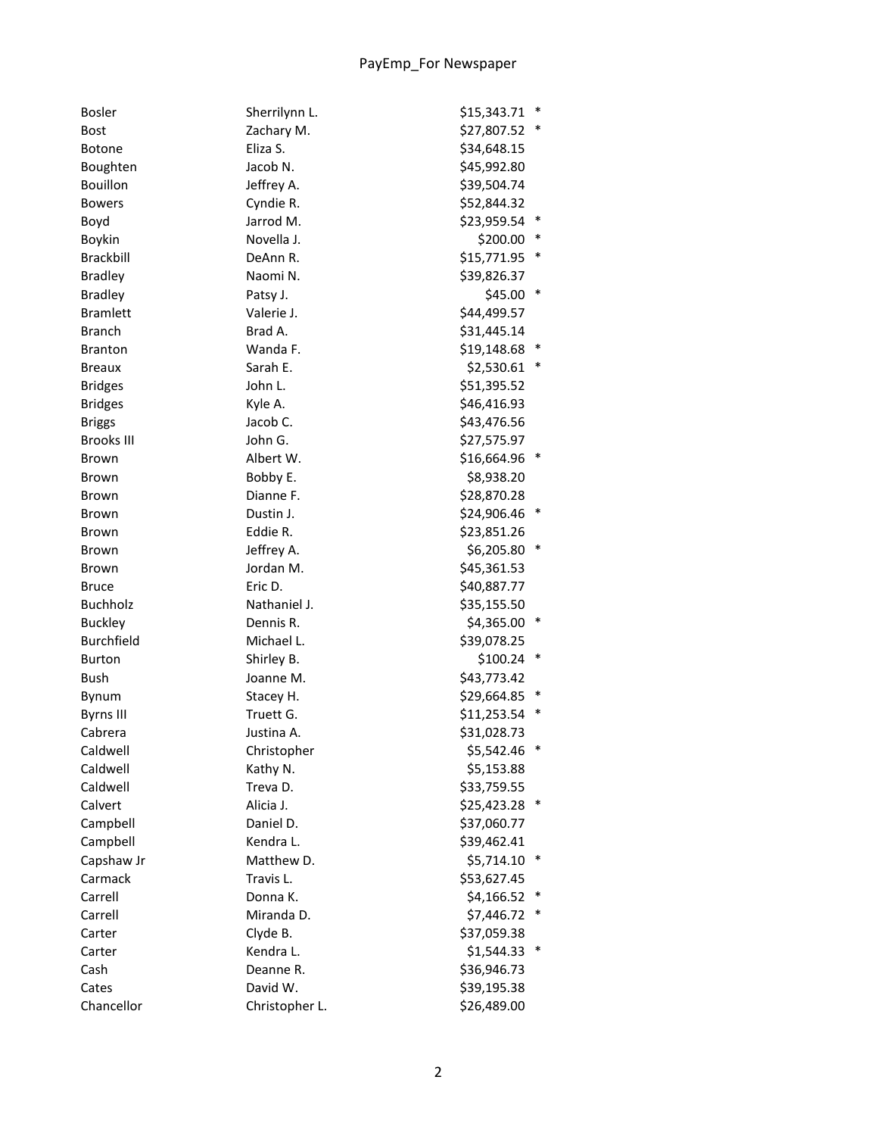| <b>Bosler</b>     | Sherrilynn L.         | \$15,343.71 | $\ast$ |
|-------------------|-----------------------|-------------|--------|
| <b>Bost</b>       | Zachary M.            | \$27,807.52 | $\ast$ |
| <b>Botone</b>     | Eliza S.              | \$34,648.15 |        |
| Boughten          | Jacob N.              | \$45,992.80 |        |
| <b>Bouillon</b>   | Jeffrey A.            | \$39,504.74 |        |
| <b>Bowers</b>     | Cyndie R.             | \$52,844.32 |        |
| Boyd              | Jarrod M.             | \$23,959.54 |        |
| Boykin            | Novella J.            | \$200.00    |        |
| <b>Brackbill</b>  | DeAnn R.              | \$15,771.95 | $\ast$ |
| <b>Bradley</b>    | Naomi N.              | \$39,826.37 |        |
| <b>Bradley</b>    | Patsy J.              | \$45.00     | $\ast$ |
| <b>Bramlett</b>   | Valerie J.            | \$44,499.57 |        |
| <b>Branch</b>     | Brad A.               | \$31,445.14 |        |
| <b>Branton</b>    | Wanda F.              | \$19,148.68 |        |
| <b>Breaux</b>     | Sarah E.              | \$2,530.61  | $\ast$ |
| <b>Bridges</b>    | John L.               | \$51,395.52 |        |
| <b>Bridges</b>    | Kyle A.               | \$46,416.93 |        |
| <b>Briggs</b>     | Jacob C.              | \$43,476.56 |        |
| <b>Brooks III</b> | John G.               | \$27,575.97 |        |
| Brown             | Albert W.             | \$16,664.96 | $\ast$ |
| Brown             | Bobby E.              | \$8,938.20  |        |
| Brown             | Dianne F.             | \$28,870.28 |        |
| Brown             | Dustin J.             | \$24,906.46 | $\ast$ |
| Brown             | Eddie R.              | \$23,851.26 |        |
| Brown             | Jeffrey A.            | \$6,205.80  | $\ast$ |
| Brown             | Jordan M.             | \$45,361.53 |        |
| Bruce             | Eric D.               | \$40,887.77 |        |
| <b>Buchholz</b>   | Nathaniel J.          | \$35,155.50 |        |
| <b>Buckley</b>    | Dennis R.             | \$4,365.00  | $\ast$ |
| <b>Burchfield</b> | Michael L.            | \$39,078.25 |        |
| <b>Burton</b>     | Shirley B.            | \$100.24    | ∗      |
| <b>Bush</b>       | Joanne M.             | \$43,773.42 |        |
| Bynum             | Stacey H.             | \$29,664.85 | ∗      |
| <b>Byrns III</b>  | Truett G.             | \$11,253.54 | ∗      |
| Cabrera           | Justina A.            | \$31,028.73 |        |
| Caldwell          | Christopher           | \$5,542.46  |        |
| Caldwell          | Kathy N.              | \$5,153.88  |        |
| Caldwell          | Treva D.              | \$33,759.55 |        |
| Calvert           | Alicia J.             | \$25,423.28 |        |
| Campbell          | Daniel D.             | \$37,060.77 |        |
| Campbell          | Kendra L.             | \$39,462.41 |        |
| Capshaw Jr        | Matthew D.            | \$5,714.10  | ∗      |
| Carmack           | Travis L.             | \$53,627.45 |        |
| Carrell           | Donna K.              | \$4,166.52  | ∗      |
| Carrell           | Miranda D.            | \$7,446.72  | ∗      |
| Carter            |                       |             |        |
|                   | Clyde B.<br>Kendra L. | \$37,059.38 | *      |
| Carter            |                       | \$1,544.33  |        |
| Cash              | Deanne R.             | \$36,946.73 |        |
| Cates             | David W.              | \$39,195.38 |        |
| Chancellor        | Christopher L.        | \$26,489.00 |        |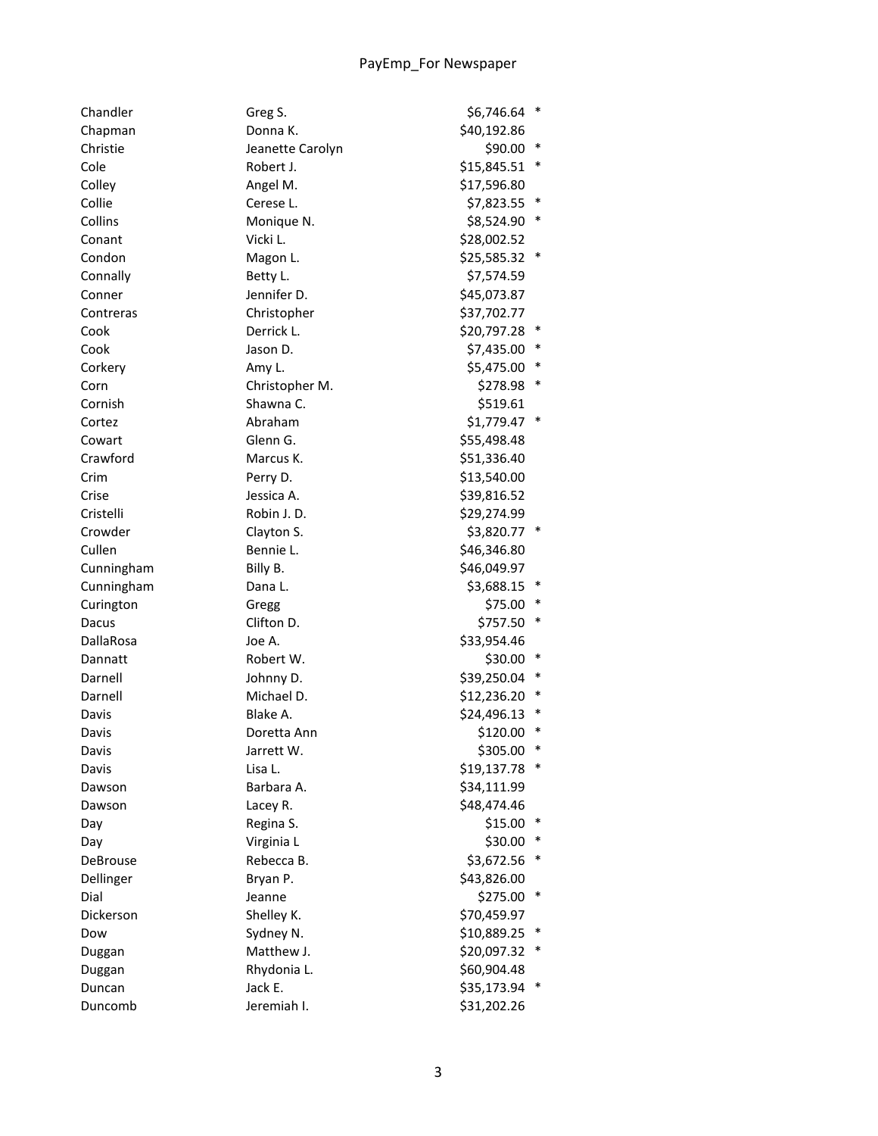| Chandler   | Greg S.          | \$6,746.64<br>$\ast$  |
|------------|------------------|-----------------------|
| Chapman    | Donna K.         | \$40,192.86           |
| Christie   | Jeanette Carolyn | $\ast$<br>\$90.00     |
| Cole       | Robert J.        | ∗<br>\$15,845.51      |
| Colley     | Angel M.         | \$17,596.80           |
| Collie     | Cerese L.        | ∗<br>\$7,823.55       |
| Collins    | Monique N.       | \$8,524.90            |
| Conant     | Vicki L.         | \$28,002.52           |
| Condon     | Magon L.         | \$25,585.32           |
| Connally   | Betty L.         | \$7,574.59            |
| Conner     | Jennifer D.      | \$45,073.87           |
| Contreras  | Christopher      | \$37,702.77           |
| Cook       | Derrick L.       | ∗<br>\$20,797.28      |
| Cook       | Jason D.         | ∗<br>\$7,435.00       |
| Corkery    | Amy L.           | \$5,475.00<br>∗       |
| Corn       | Christopher M.   | ∗<br>\$278.98         |
| Cornish    | Shawna C.        | \$519.61              |
| Cortez     | Abraham          | $\ast$<br>\$1,779.47  |
| Cowart     | Glenn G.         | \$55,498.48           |
| Crawford   | Marcus K.        | \$51,336.40           |
| Crim       | Perry D.         | \$13,540.00           |
| Crise      | Jessica A.       | \$39,816.52           |
| Cristelli  | Robin J.D.       | \$29,274.99           |
| Crowder    | Clayton S.       | \$3,820.77 *          |
| Cullen     | Bennie L.        | \$46,346.80           |
| Cunningham | Billy B.         | \$46,049.97           |
| Cunningham | Dana L.          | \$3,688.15<br>$\ast$  |
| Curington  | Gregg            | \$75.00 *             |
| Dacus      | Clifton D.       | \$757.50 *            |
| DallaRosa  | Joe A.           | \$33,954.46           |
| Dannatt    | Robert W.        | \$30.00<br>∗          |
| Darnell    | Johnny D.        | \$39,250.04<br>∗      |
| Darnell    | Michael D.       | ∗<br>\$12,236.20      |
| Davis      | Blake A.         | \$24,496.13<br>∗      |
| Davis      | Doretta Ann      | $\ast$<br>\$120.00    |
| Davis      | Jarrett W.       | \$305.00<br>∗         |
| Davis      | Lisa L.          | $\ast$<br>\$19,137.78 |
| Dawson     | Barbara A.       | \$34,111.99           |
| Dawson     | Lacey R.         | \$48,474.46           |
| Day        | Regina S.        | \$15.00               |
| Day        | Virginia L       | \$30.00<br>∗          |
| DeBrouse   | Rebecca B.       | \$3,672.56<br>∗       |
| Dellinger  | Bryan P.         | \$43,826.00           |
| Dial       | Jeanne           | \$275.00<br>∗         |
| Dickerson  | Shelley K.       | \$70,459.97           |
| Dow        | Sydney N.        | \$10,889.25<br>∗      |
| Duggan     | Matthew J.       | \$20,097.32<br>∗      |
| Duggan     | Rhydonia L.      | \$60,904.48           |
| Duncan     | Jack E.          | \$35,173.94<br>∗      |
| Duncomb    | Jeremiah I.      | \$31,202.26           |
|            |                  |                       |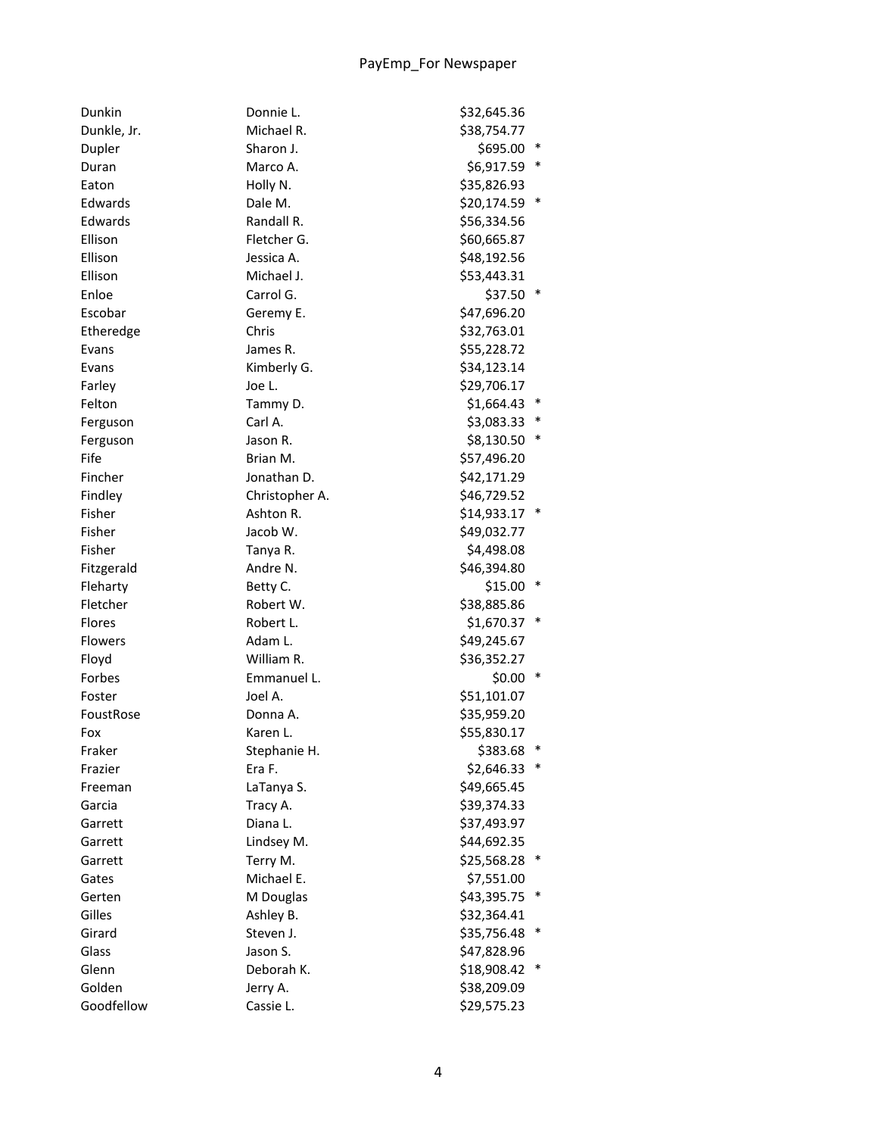| Dunkin      | Donnie L.      | \$32,645.36 |        |
|-------------|----------------|-------------|--------|
| Dunkle, Jr. | Michael R.     | \$38,754.77 |        |
| Dupler      | Sharon J.      | \$695.00    | *      |
| Duran       | Marco A.       | \$6,917.59  | $\ast$ |
| Eaton       | Holly N.       | \$35,826.93 |        |
| Edwards     | Dale M.        | \$20,174.59 | $\ast$ |
| Edwards     | Randall R.     | \$56,334.56 |        |
| Ellison     | Fletcher G.    | \$60,665.87 |        |
| Ellison     | Jessica A.     | \$48,192.56 |        |
| Ellison     | Michael J.     | \$53,443.31 |        |
| Enloe       | Carrol G.      | \$37.50     |        |
| Escobar     | Geremy E.      | \$47,696.20 |        |
| Etheredge   | Chris          | \$32,763.01 |        |
| Evans       | James R.       | \$55,228.72 |        |
| Evans       | Kimberly G.    | \$34,123.14 |        |
| Farley      | Joe L.         | \$29,706.17 |        |
| Felton      | Tammy D.       | \$1,664.43  |        |
| Ferguson    | Carl A.        | \$3,083.33  |        |
| Ferguson    | Jason R.       | \$8,130.50  | ∗      |
| Fife        | Brian M.       | \$57,496.20 |        |
| Fincher     | Jonathan D.    | \$42,171.29 |        |
| Findley     | Christopher A. | \$46,729.52 |        |
| Fisher      | Ashton R.      | \$14,933.17 |        |
| Fisher      | Jacob W.       | \$49,032.77 |        |
| Fisher      | Tanya R.       | \$4,498.08  |        |
| Fitzgerald  | Andre N.       | \$46,394.80 |        |
| Fleharty    | Betty C.       | \$15.00     |        |
| Fletcher    | Robert W.      | \$38,885.86 |        |
| Flores      | Robert L.      | \$1,670.37  | $\ast$ |
| Flowers     | Adam L.        | \$49,245.67 |        |
| Floyd       | William R.     | \$36,352.27 |        |
| Forbes      | Emmanuel L.    | \$0.00      | $\ast$ |
| Foster      | Joel A.        | \$51,101.07 |        |
| FoustRose   | Donna A.       | \$35,959.20 |        |
| Fox         | Karen L.       | \$55,830.17 |        |
| Fraker      | Stephanie H.   | \$383.68    | ∗      |
| Frazier     | Era F.         | \$2,646.33  | $\ast$ |
| Freeman     | LaTanya S.     | \$49,665.45 |        |
| Garcia      | Tracy A.       | \$39,374.33 |        |
| Garrett     | Diana L.       | \$37,493.97 |        |
| Garrett     | Lindsey M.     | \$44,692.35 |        |
| Garrett     | Terry M.       | \$25,568.28 |        |
| Gates       | Michael E.     | \$7,551.00  |        |
| Gerten      | M Douglas      | \$43,395.75 | ∗      |
| Gilles      | Ashley B.      | \$32,364.41 |        |
| Girard      | Steven J.      | \$35,756.48 | $\ast$ |
| Glass       | Jason S.       | \$47,828.96 |        |
| Glenn       | Deborah K.     | \$18,908.42 | ∗      |
| Golden      | Jerry A.       | \$38,209.09 |        |
| Goodfellow  | Cassie L.      | \$29,575.23 |        |
|             |                |             |        |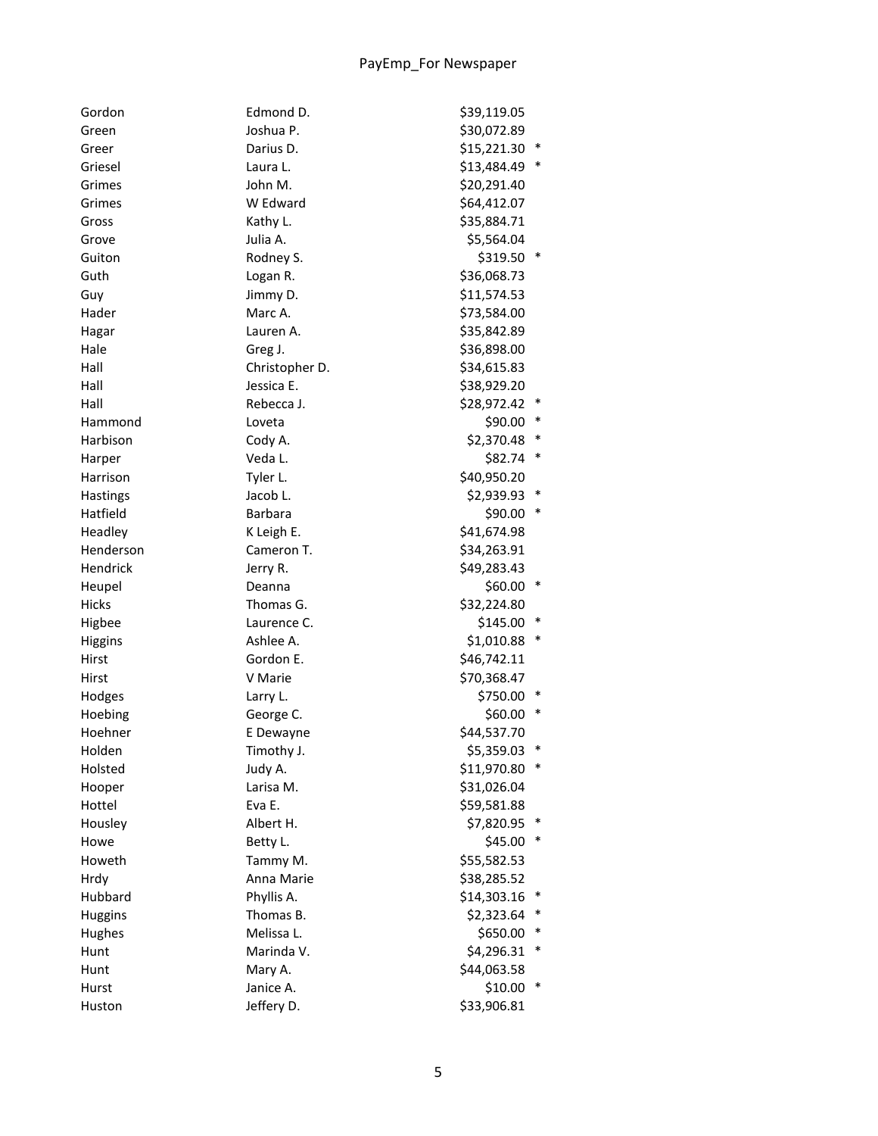| Gordon         | Edmond D.      | \$39,119.05 |        |
|----------------|----------------|-------------|--------|
| Green          | Joshua P.      | \$30,072.89 |        |
| Greer          | Darius D.      | \$15,221.30 | $\ast$ |
| Griesel        | Laura L.       | \$13,484.49 | $\ast$ |
| Grimes         | John M.        | \$20,291.40 |        |
| Grimes         | W Edward       | \$64,412.07 |        |
| Gross          | Kathy L.       | \$35,884.71 |        |
| Grove          | Julia A.       | \$5,564.04  |        |
| Guiton         | Rodney S.      | \$319.50 *  |        |
| Guth           | Logan R.       | \$36,068.73 |        |
| Guy            | Jimmy D.       | \$11,574.53 |        |
| Hader          | Marc A.        | \$73,584.00 |        |
| Hagar          | Lauren A.      | \$35,842.89 |        |
| Hale           | Greg J.        | \$36,898.00 |        |
| Hall           | Christopher D. | \$34,615.83 |        |
| Hall           | Jessica E.     | \$38,929.20 |        |
| Hall           | Rebecca J.     | \$28,972.42 | $\ast$ |
| Hammond        | Loveta         | \$90.00     | $\ast$ |
| Harbison       | Cody A.        | \$2,370.48  | $\ast$ |
| Harper         | Veda L.        | \$82.74     | $\ast$ |
| Harrison       | Tyler L.       | \$40,950.20 |        |
| Hastings       | Jacob L.       | \$2,939.93  | $\ast$ |
| Hatfield       | <b>Barbara</b> | \$90.00     |        |
| Headley        | K Leigh E.     | \$41,674.98 |        |
| Henderson      | Cameron T.     | \$34,263.91 |        |
| Hendrick       | Jerry R.       | \$49,283.43 |        |
| Heupel         | Deanna         | $$60.00*$   |        |
| <b>Hicks</b>   | Thomas G.      | \$32,224.80 |        |
| Higbee         | Laurence C.    | \$145.00    | $\ast$ |
| Higgins        | Ashlee A.      | \$1,010.88  |        |
| Hirst          | Gordon E.      | \$46,742.11 |        |
| Hirst          | V Marie        | \$70,368.47 |        |
| Hodges         | Larry L.       | \$750.00    |        |
| Hoebing        | George C.      | \$60.00     | ∗      |
| Hoehner        | E Dewayne      | \$44,537.70 |        |
| Holden         | Timothy J.     | \$5,359.03  |        |
| Holsted        | Judy A.        | \$11,970.80 |        |
| Hooper         | Larisa M.      | \$31,026.04 |        |
| Hottel         | Eva E.         | \$59,581.88 |        |
| Housley        | Albert H.      | \$7,820.95  |        |
| Howe           | Betty L.       | \$45.00     |        |
| Howeth         | Tammy M.       | \$55,582.53 |        |
| Hrdy           | Anna Marie     | \$38,285.52 |        |
| Hubbard        | Phyllis A.     | \$14,303.16 | $\ast$ |
| <b>Huggins</b> | Thomas B.      | \$2,323.64  | $\ast$ |
| Hughes         | Melissa L.     | \$650.00    | ∗      |
| Hunt           | Marinda V.     | \$4,296.31  |        |
| Hunt           | Mary A.        | \$44,063.58 |        |
| Hurst          | Janice A.      | \$10.00     |        |
| Huston         | Jeffery D.     | \$33,906.81 |        |
|                |                |             |        |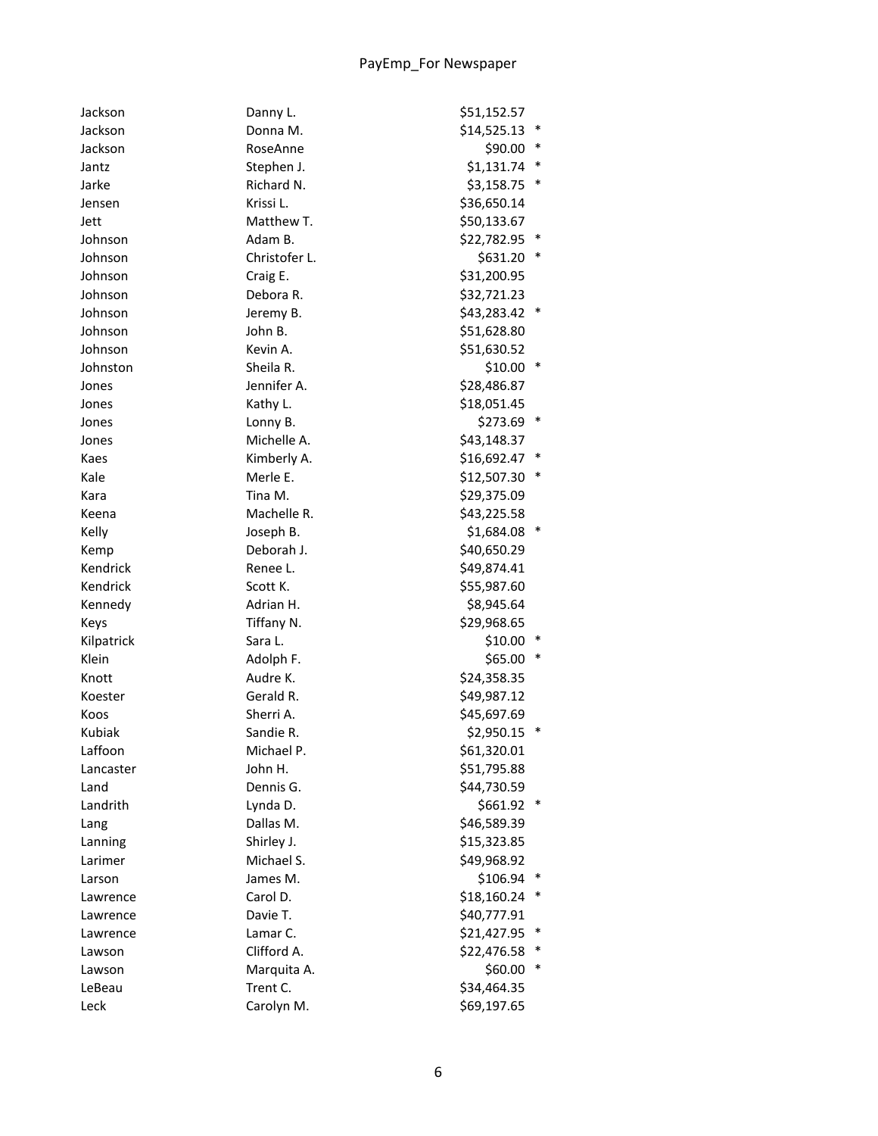| Jackson    | Danny L.      | \$51,152.57           |  |
|------------|---------------|-----------------------|--|
| Jackson    | Donna M.      | \$14,525.13<br>$\ast$ |  |
| Jackson    | RoseAnne      | \$90.00<br>∗          |  |
| Jantz      | Stephen J.    | $\ast$<br>\$1,131.74  |  |
| Jarke      | Richard N.    | $\ast$<br>\$3,158.75  |  |
| Jensen     | Krissi L.     | \$36,650.14           |  |
| Jett       | Matthew T.    | \$50,133.67           |  |
| Johnson    | Adam B.       | \$22,782.95           |  |
| Johnson    | Christofer L. | \$631.20              |  |
| Johnson    | Craig E.      | \$31,200.95           |  |
| Johnson    | Debora R.     | \$32,721.23           |  |
| Johnson    | Jeremy B.     | \$43,283.42 *         |  |
| Johnson    | John B.       | \$51,628.80           |  |
| Johnson    | Kevin A.      | \$51,630.52           |  |
| Johnston   | Sheila R.     | \$10.00               |  |
| Jones      | Jennifer A.   | \$28,486.87           |  |
| Jones      | Kathy L.      | \$18,051.45           |  |
| Jones      | Lonny B.      | \$273.69 *            |  |
| Jones      | Michelle A.   | \$43,148.37           |  |
| Kaes       | Kimberly A.   | \$16,692.47<br>$\ast$ |  |
| Kale       | Merle E.      | ∗<br>\$12,507.30      |  |
| Kara       | Tina M.       | \$29,375.09           |  |
| Keena      | Machelle R.   | \$43,225.58           |  |
| Kelly      | Joseph B.     | \$1,684.08            |  |
| Kemp       | Deborah J.    | \$40,650.29           |  |
| Kendrick   | Renee L.      | \$49,874.41           |  |
| Kendrick   | Scott K.      | \$55,987.60           |  |
| Kennedy    | Adrian H.     | \$8,945.64            |  |
| Keys       | Tiffany N.    | \$29,968.65           |  |
| Kilpatrick | Sara L.       | \$10.00               |  |
| Klein      | Adolph F.     | \$65.00               |  |
| Knott      | Audre K.      | \$24,358.35           |  |
| Koester    | Gerald R.     | \$49,987.12           |  |
| Koos       | Sherri A.     | \$45,697.69           |  |
| Kubiak     | Sandie R.     | \$2,950.15<br>$\ast$  |  |
| Laffoon    | Michael P.    | \$61,320.01           |  |
| Lancaster  | John H.       | \$51,795.88           |  |
| Land       | Dennis G.     | \$44,730.59           |  |
| Landrith   | Lynda D.      | \$661.92              |  |
| Lang       | Dallas M.     | \$46,589.39           |  |
| Lanning    | Shirley J.    | \$15,323.85           |  |
| Larimer    | Michael S.    | \$49,968.92           |  |
| Larson     | James M.      | \$106.94              |  |
| Lawrence   | Carol D.      | \$18,160.24           |  |
| Lawrence   | Davie T.      | \$40,777.91           |  |
| Lawrence   | Lamar C.      | \$21,427.95           |  |
| Lawson     | Clifford A.   | \$22,476.58           |  |
| Lawson     | Marquita A.   | \$60.00               |  |
| LeBeau     | Trent C.      | \$34,464.35           |  |
| Leck       | Carolyn M.    | \$69,197.65           |  |
|            |               |                       |  |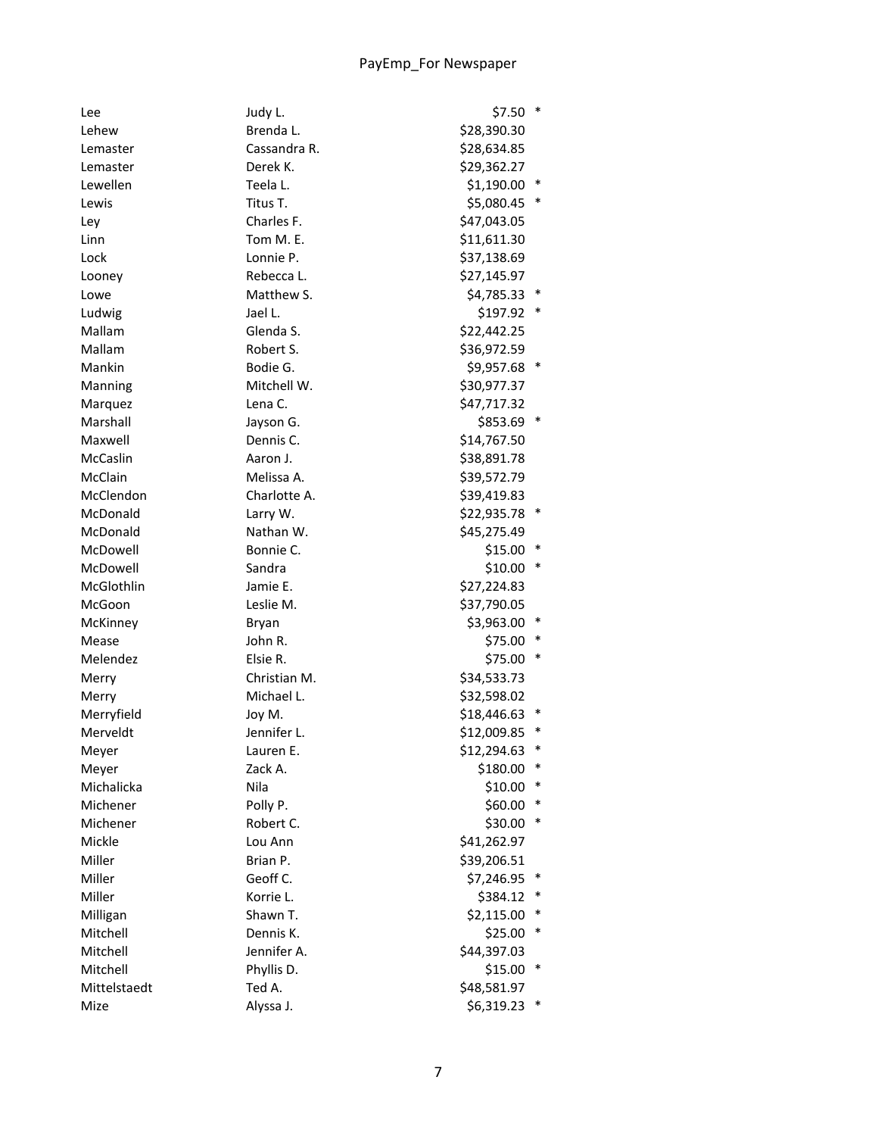| Lee          | Judy L.      | \$7.50       | $\ast$ |
|--------------|--------------|--------------|--------|
| Lehew        | Brenda L.    | \$28,390.30  |        |
| Lemaster     | Cassandra R. | \$28,634.85  |        |
| Lemaster     | Derek K.     | \$29,362.27  |        |
| Lewellen     | Teela L.     | \$1,190.00   | $\ast$ |
| Lewis        | Titus T.     | \$5,080.45   |        |
| Ley          | Charles F.   | \$47,043.05  |        |
| Linn         | Tom M. E.    | \$11,611.30  |        |
| Lock         | Lonnie P.    | \$37,138.69  |        |
| Looney       | Rebecca L.   | \$27,145.97  |        |
| Lowe         | Matthew S.   | \$4,785.33 * |        |
| Ludwig       | Jael L.      | \$197.92 *   |        |
| Mallam       | Glenda S.    | \$22,442.25  |        |
| Mallam       | Robert S.    | \$36,972.59  |        |
| Mankin       | Bodie G.     | \$9,957.68 * |        |
| Manning      | Mitchell W.  | \$30,977.37  |        |
| Marquez      | Lena C.      | \$47,717.32  |        |
| Marshall     | Jayson G.    | \$853.69     | $\ast$ |
| Maxwell      | Dennis C.    | \$14,767.50  |        |
| McCaslin     | Aaron J.     | \$38,891.78  |        |
| McClain      | Melissa A.   | \$39,572.79  |        |
| McClendon    | Charlotte A. | \$39,419.83  |        |
| McDonald     | Larry W.     | \$22,935.78  |        |
| McDonald     | Nathan W.    | \$45,275.49  |        |
| McDowell     | Bonnie C.    | \$15.00      | $\ast$ |
| McDowell     | Sandra       | \$10.00      | $\ast$ |
| McGlothlin   | Jamie E.     | \$27,224.83  |        |
| McGoon       | Leslie M.    | \$37,790.05  |        |
| McKinney     | Bryan        | \$3,963.00 * |        |
| Mease        | John R.      | \$75.00 *    |        |
| Melendez     | Elsie R.     | \$75.00      | $\ast$ |
| Merry        | Christian M. | \$34,533.73  |        |
| Merry        | Michael L.   | \$32,598.02  |        |
| Merryfield   | Joy M.       | \$18,446.63  | ∗      |
| Merveldt     | Jennifer L.  | \$12,009.85  | ∗      |
| Meyer        | Lauren E.    | \$12,294.63  | *      |
| Meyer        | Zack A.      | \$180.00     | $\ast$ |
| Michalicka   | Nila         | \$10.00      |        |
| Michener     | Polly P.     | \$60.00      |        |
| Michener     | Robert C.    | \$30.00      |        |
| Mickle       | Lou Ann      | \$41,262.97  |        |
| Miller       | Brian P.     | \$39,206.51  |        |
| Miller       | Geoff C.     | \$7,246.95   | ∗      |
| Miller       | Korrie L.    | \$384.12     | ∗      |
| Milligan     | Shawn T.     | \$2,115.00   | $\ast$ |
| Mitchell     | Dennis K.    | \$25.00      | ∗      |
| Mitchell     | Jennifer A.  | \$44,397.03  |        |
| Mitchell     | Phyllis D.   | \$15.00      |        |
| Mittelstaedt | Ted A.       | \$48,581.97  |        |
|              |              |              |        |
| Mize         | Alyssa J.    | \$6,319.23   |        |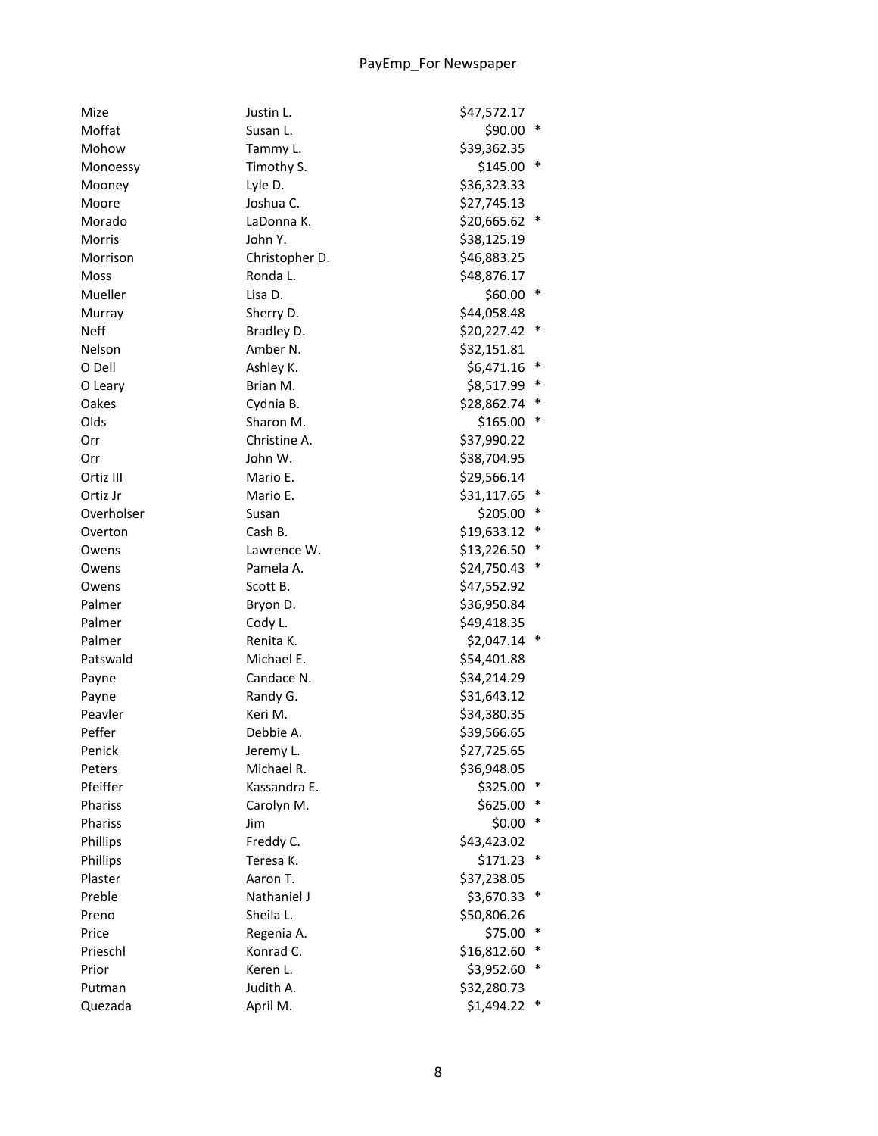| Mize        | Justin L.      | \$47,572.17   |        |
|-------------|----------------|---------------|--------|
| Moffat      | Susan L.       | \$90.00       | $\ast$ |
| Mohow       | Tammy L.       | \$39,362.35   |        |
| Monoessy    | Timothy S.     | $$145.00$ *   |        |
| Mooney      | Lyle D.        | \$36,323.33   |        |
| Moore       | Joshua C.      | \$27,745.13   |        |
| Morado      | LaDonna K.     | \$20,665.62   |        |
| Morris      | John Y.        | \$38,125.19   |        |
| Morrison    | Christopher D. | \$46,883.25   |        |
| Moss        | Ronda L.       | \$48,876.17   |        |
| Mueller     | Lisa D.        | \$60.00       | ∗      |
| Murray      | Sherry D.      | \$44,058.48   |        |
| <b>Neff</b> | Bradley D.     | \$20,227.42 * |        |
| Nelson      | Amber N.       | \$32,151.81   |        |
| O Dell      | Ashley K.      | \$6,471.16    | ∗      |
| O Leary     | Brian M.       | \$8,517.99    | ∗      |
| Oakes       | Cydnia B.      | \$28,862.74   | ∗      |
| Olds        | Sharon M.      | \$165.00      | $\ast$ |
| Orr         | Christine A.   | \$37,990.22   |        |
| Orr         | John W.        | \$38,704.95   |        |
| Ortiz III   | Mario E.       | \$29,566.14   |        |
| Ortiz Jr    | Mario E.       | \$31,117.65 * |        |
| Overholser  | Susan          | \$205.00      | ∗      |
| Overton     | Cash B.        | \$19,633.12   | ∗      |
| Owens       | Lawrence W.    | \$13,226.50   | ∗      |
| Owens       | Pamela A.      | \$24,750.43   | ∗      |
| Owens       | Scott B.       | \$47,552.92   |        |
| Palmer      | Bryon D.       | \$36,950.84   |        |
| Palmer      | Cody L.        | \$49,418.35   |        |
| Palmer      | Renita K.      | $$2,047.14$ * |        |
| Patswald    | Michael E.     | \$54,401.88   |        |
| Payne       | Candace N.     | \$34,214.29   |        |
| Payne       | Randy G.       | \$31,643.12   |        |
| Peavler     | Keri M.        | \$34,380.35   |        |
| Peffer      | Debbie A.      | \$39,566.65   |        |
| Penick      | Jeremy L.      | \$27,725.65   |        |
| Peters      | Michael R.     | \$36,948.05   |        |
| Pfeiffer    | Kassandra E.   | \$325.00      |        |
| Phariss     | Carolyn M.     | \$625.00      | ∗      |
| Phariss     | Jim            | \$0.00        | $\ast$ |
| Phillips    | Freddy C.      | \$43,423.02   |        |
| Phillips    | Teresa K.      | \$171.23      | ∗      |
| Plaster     | Aaron T.       | \$37,238.05   |        |
| Preble      | Nathaniel J    | \$3,670.33    | $\ast$ |
| Preno       | Sheila L.      | \$50,806.26   |        |
| Price       | Regenia A.     | \$75.00       | $\ast$ |
| Prieschl    | Konrad C.      | \$16,812.60   | ∗      |
| Prior       | Keren L.       | \$3,952.60    | ∗      |
| Putman      | Judith A.      | \$32,280.73   |        |
| Quezada     | April M.       | \$1,494.22    |        |
|             |                |               |        |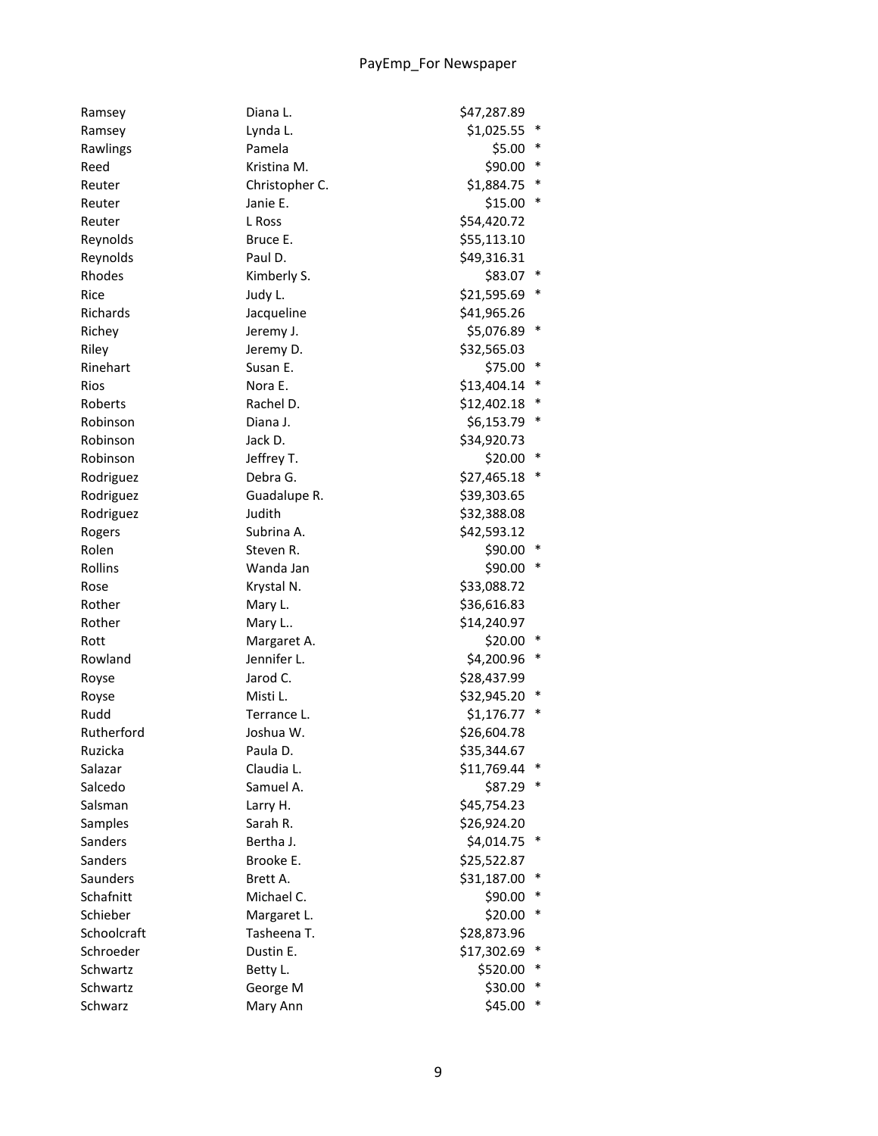| Ramsey             | Diana L.       | \$47,287.89  |        |
|--------------------|----------------|--------------|--------|
| Ramsey             | Lynda L.       | \$1,025.55   | $\ast$ |
| Rawlings           | Pamela         | \$5.00       | ∗      |
| Reed               | Kristina M.    | \$90.00      | $\ast$ |
| Reuter             | Christopher C. | \$1,884.75   | $\ast$ |
| Reuter             | Janie E.       | \$15.00      |        |
| Reuter             | L Ross         | \$54,420.72  |        |
| Reynolds           | Bruce E.       | \$55,113.10  |        |
| Reynolds           | Paul D.        | \$49,316.31  |        |
| Rhodes             | Kimberly S.    | \$83.07 *    |        |
| Rice               | Judy L.        | \$21,595.69  | ∗      |
| Richards           | Jacqueline     | \$41,965.26  |        |
| Richey             | Jeremy J.      | \$5,076.89 * |        |
| Riley              | Jeremy D.      | \$32,565.03  |        |
| Rinehart           | Susan E.       | \$75.00      | $\ast$ |
| Rios               | Nora E.        | \$13,404.14  | $\ast$ |
| Roberts            | Rachel D.      | \$12,402.18  | ∗      |
| Robinson           | Diana J.       | \$6,153.79   | $\ast$ |
| Robinson           | Jack D.        | \$34,920.73  |        |
| Robinson           | Jeffrey T.     | \$20.00      | $\ast$ |
| Rodriguez          | Debra G.       | \$27,465.18  | $\ast$ |
| Rodriguez          | Guadalupe R.   | \$39,303.65  |        |
| Rodriguez          | Judith         | \$32,388.08  |        |
| Rogers             | Subrina A.     | \$42,593.12  |        |
| Rolen              | Steven R.      | \$90.00      |        |
| Rollins            | Wanda Jan      | \$90.00      |        |
| Rose               | Krystal N.     | \$33,088.72  |        |
| Rother             | Mary L.        | \$36,616.83  |        |
| Rother             | Mary L         | \$14,240.97  |        |
| Rott               | Margaret A.    | \$20.00      |        |
| Rowland            | Jennifer L.    | \$4,200.96   | $\ast$ |
|                    | Jarod C.       | \$28,437.99  |        |
| Royse              | Misti L.       | \$32,945.20  |        |
| Royse              |                |              |        |
| Rudd<br>Rutherford | Terrance L.    | \$1,176.77   |        |
|                    | Joshua W.      | \$26,604.78  |        |
| Ruzicka            | Paula D.       | \$35,344.67  | $\ast$ |
| Salazar            | Claudia L.     | \$11,769.44  |        |
| Salcedo            | Samuel A.      | \$87.29      |        |
| Salsman            | Larry H.       | \$45,754.23  |        |
| Samples            | Sarah R.       | \$26,924.20  |        |
| Sanders            | Bertha J.      | \$4,014.75   |        |
| Sanders            | Brooke E.      | \$25,522.87  |        |
| Saunders           | Brett A.       | \$31,187.00  | ∗      |
| Schafnitt          | Michael C.     | \$90.00      | ∗      |
| Schieber           | Margaret L.    | \$20.00      | ∗      |
| Schoolcraft        | Tasheena T.    | \$28,873.96  |        |
| Schroeder          | Dustin E.      | \$17,302.69  | ∗      |
| Schwartz           | Betty L.       | \$520.00     |        |
| Schwartz           | George M       | \$30.00      |        |
| Schwarz            | Mary Ann       | \$45.00      |        |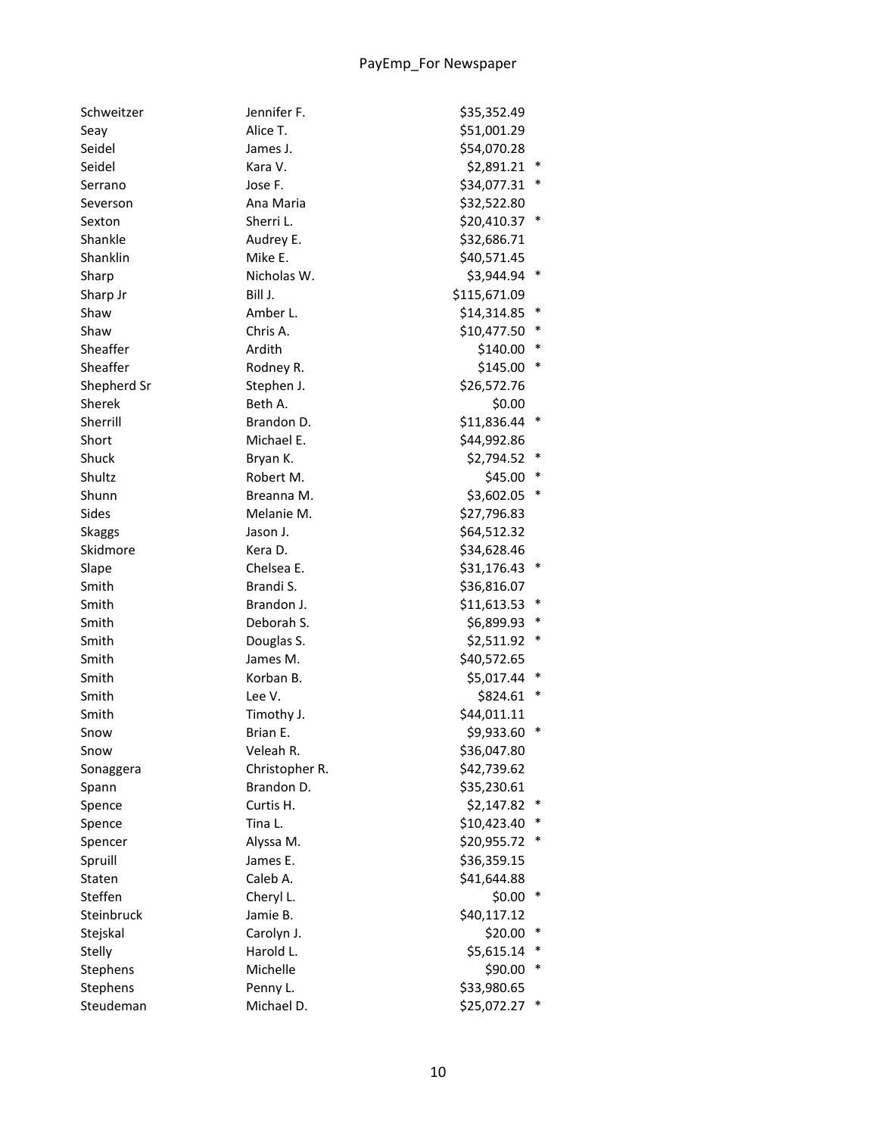| Schweitzer    | Jennifer F.    | \$35,352.49   |        |
|---------------|----------------|---------------|--------|
| Seay          | Alice T.       | \$51,001.29   |        |
| Seidel        | James J.       | \$54,070.28   |        |
| Seidel        | Kara V.        | \$2,891.21    | $\ast$ |
| Serrano       | Jose F.        | \$34,077.31   | ∗      |
| Severson      | Ana Maria      | \$32,522.80   |        |
| Sexton        | Sherri L.      | \$20,410.37 * |        |
| Shankle       | Audrey E.      | \$32,686.71   |        |
| Shanklin      | Mike E.        | \$40,571.45   |        |
| Sharp         | Nicholas W.    | \$3,944.94    | $\ast$ |
| Sharp Jr      | Bill J.        | \$115,671.09  |        |
| Shaw          | Amber L.       | \$14,314.85   | $\ast$ |
| Shaw          | Chris A.       | \$10,477.50   | ∗      |
| Sheaffer      | Ardith         | \$140.00      | ∗      |
| Sheaffer      | Rodney R.      | \$145.00      | $\ast$ |
| Shepherd Sr   | Stephen J.     | \$26,572.76   |        |
| Sherek        | Beth A.        | \$0.00        |        |
| Sherrill      | Brandon D.     | \$11,836.44   | $\ast$ |
| Short         | Michael E.     | \$44,992.86   |        |
| Shuck         | Bryan K.       | \$2,794.52    | $\ast$ |
| Shultz        | Robert M.      | \$45.00       | ∗      |
| Shunn         | Breanna M.     | \$3,602.05    | ∗      |
| Sides         | Melanie M.     | \$27,796.83   |        |
| <b>Skaggs</b> | Jason J.       | \$64,512.32   |        |
| Skidmore      | Kera D.        | \$34,628.46   |        |
| Slape         | Chelsea E.     | \$31,176.43   | $\ast$ |
| Smith         | Brandi S.      | \$36,816.07   |        |
| Smith         | Brandon J.     | \$11,613.53   | $\ast$ |
| Smith         | Deborah S.     | \$6,899.93    | ∗      |
| Smith         | Douglas S.     | \$2,511.92    | ∗      |
| Smith         | James M.       | \$40,572.65   |        |
| Smith         | Korban B.      | \$5,017.44    | ∗      |
| Smith         | Lee V.         | \$824.61      | ∗      |
| Smith         | Timothy J.     | \$44,011.11   |        |
| Snow          | Brian E.       | \$9,933.60    | $\ast$ |
| Snow          | Veleah R.      | \$36,047.80   |        |
| Sonaggera     | Christopher R. | \$42,739.62   |        |
| Spann         | Brandon D.     | \$35,230.61   |        |
| Spence        | Curtis H.      | \$2,147.82    |        |
| Spence        | Tina L.        | \$10,423.40   | ∗      |
| Spencer       | Alyssa M.      | \$20,955.72   | ∗      |
| Spruill       | James E.       | \$36,359.15   |        |
| Staten        | Caleb A.       | \$41,644.88   |        |
| Steffen       |                |               | $\ast$ |
| Steinbruck    | Cheryl L.      | \$0.00        |        |
|               | Jamie B.       | \$40,117.12   | ∗      |
| Stejskal      | Carolyn J.     | \$20.00       | ∗      |
| Stelly        | Harold L.      | \$5,615.14    | ∗      |
| Stephens      | Michelle       | \$90.00       |        |
| Stephens      | Penny L.       | \$33,980.65   |        |
| Steudeman     | Michael D.     | \$25,072.27   | $\ast$ |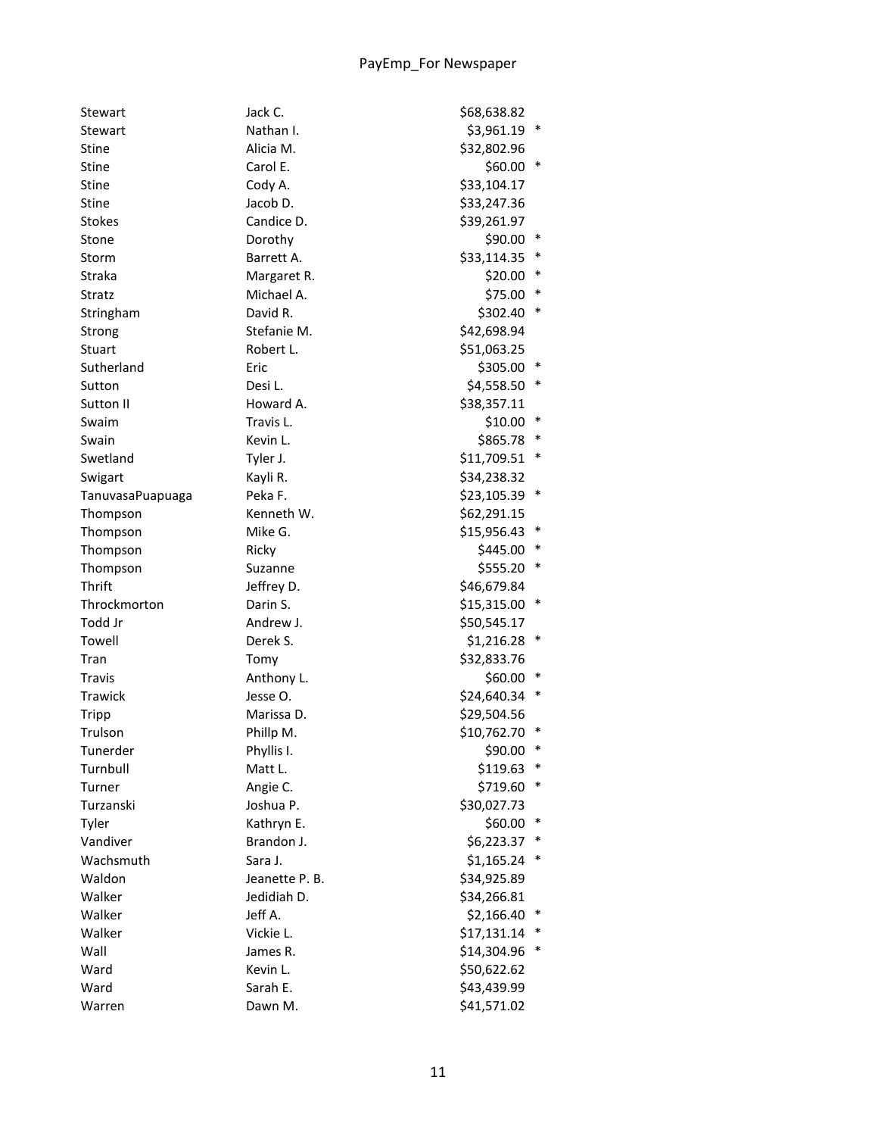| Stewart          | Jack C.        | \$68,638.82 |        |
|------------------|----------------|-------------|--------|
| Stewart          | Nathan I.      | \$3,961.19  | $\ast$ |
| <b>Stine</b>     | Alicia M.      | \$32,802.96 |        |
| Stine            | Carol E.       | \$60.00     | $\ast$ |
| Stine            | Cody A.        | \$33,104.17 |        |
| <b>Stine</b>     | Jacob D.       | \$33,247.36 |        |
| <b>Stokes</b>    | Candice D.     | \$39,261.97 |        |
| Stone            | Dorothy        | \$90.00     |        |
| Storm            | Barrett A.     | \$33,114.35 |        |
| Straka           | Margaret R.    | \$20.00     |        |
| Stratz           | Michael A.     | \$75.00     | ∗      |
| Stringham        | David R.       | \$302.40    | ∗      |
| Strong           | Stefanie M.    | \$42,698.94 |        |
| Stuart           | Robert L.      | \$51,063.25 |        |
| Sutherland       | Eric           | \$305.00    |        |
| Sutton           | Desi L.        | \$4,558.50  | ∗      |
| Sutton II        | Howard A.      | \$38,357.11 |        |
| Swaim            | Travis L.      | \$10.00     | ∗      |
| Swain            | Kevin L.       | \$865.78    | ∗      |
| Swetland         | Tyler J.       | \$11,709.51 | ∗      |
| Swigart          | Kayli R.       | \$34,238.32 |        |
| TanuvasaPuapuaga | Peka F.        | \$23,105.39 | $\ast$ |
| Thompson         | Kenneth W.     | \$62,291.15 |        |
| Thompson         | Mike G.        | \$15,956.43 |        |
| Thompson         | Ricky          | \$445.00    |        |
| Thompson         | Suzanne        | \$555.20    |        |
| Thrift           | Jeffrey D.     | \$46,679.84 |        |
| Throckmorton     | Darin S.       | \$15,315.00 |        |
| Todd Jr          | Andrew J.      | \$50,545.17 |        |
| Towell           | Derek S.       | \$1,216.28  | $\ast$ |
| Tran             | Tomy           | \$32,833.76 |        |
| <b>Travis</b>    | Anthony L.     | \$60.00     |        |
| Trawick          | Jesse O.       | \$24,640.34 |        |
| <b>Tripp</b>     | Marissa D.     | \$29,504.56 |        |
| Trulson          | Phillp M.      | \$10,762.70 | $\ast$ |
| Tunerder         | Phyllis I.     | \$90.00     |        |
| Turnbull         | Matt L.        | \$119.63    | $\ast$ |
| Turner           | Angie C.       | \$719.60    |        |
| Turzanski        | Joshua P.      | \$30,027.73 |        |
| Tyler            | Kathryn E.     | \$60.00     |        |
| Vandiver         | Brandon J.     | \$6,223.37  |        |
| Wachsmuth        | Sara J.        | \$1,165.24  |        |
|                  |                | \$34,925.89 |        |
| Waldon           | Jeanette P. B. |             |        |
| Walker           | Jedidiah D.    | \$34,266.81 | ∗      |
| Walker           | Jeff A.        | \$2,166.40  |        |
| Walker           | Vickie L.      | \$17,131.14 |        |
| Wall             | James R.       | \$14,304.96 |        |
| Ward             | Kevin L.       | \$50,622.62 |        |
| Ward             | Sarah E.       | \$43,439.99 |        |
| Warren           | Dawn M.        | \$41,571.02 |        |